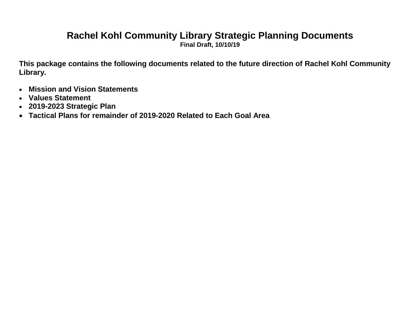# **Rachel Kohl Community Library Strategic Planning Documents**

**Final Draft, 10/10/19**

**This package contains the following documents related to the future direction of Rachel Kohl Community Library.**

- **Mission and Vision Statements**
- **Values Statement**
- **2019-2023 Strategic Plan**
- **Tactical Plans for remainder of 2019-2020 Related to Each Goal Area**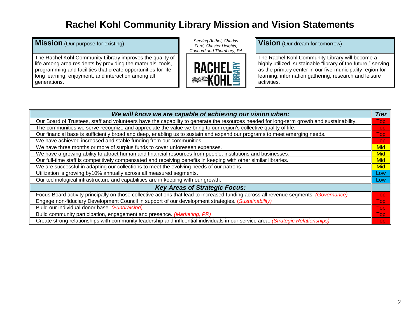## **Rachel Kohl Community Library Mission and Vision Statements**

#### **Mission** (Our purpose for existing) *Serving Bethel, Chadds*

The Rachel Kohl Community Library improves the quality of life among area residents by providing the materials, tools, programming and facilities that create opportunities for lifelong learning, enjoyment, and interaction among all generations.

*Ford, Chester Heights, Concord and Thornbury, PA*



**Vision** (Our dream for tomorrow)

The Rachel Kohl Community Library will become a highly utilized, sustainable "library of the future," serving as the primary center in our five-municipality region for learning, information gathering, research and leisure activities.

| We will know we are capable of achieving our vision when:                                                                                 | <b>Tier</b>      |
|-------------------------------------------------------------------------------------------------------------------------------------------|------------------|
| Our Board of Trustees, staff and volunteers have the capability to generate the resources needed for long-term growth and sustainability. | <b>Top</b>       |
| The communities we serve recognize and appreciate the value we bring to our region's collective quality of life.                          | <b>Top</b>       |
| Our financial base is sufficiently broad and deep, enabling us to sustain and expand our programs to meet emerging needs.                 | <b>Top</b>       |
| We have achieved increased and stable funding from our communities.                                                                       | <b>Top</b>       |
| We have three months or more of surplus funds to cover unforeseen expenses.                                                               | Mid              |
| We have a growing ability to attract human and financial resources from people, institutions and businesses.                              | Mid              |
| Our full-time staff is competitively compensated and receiving benefits in keeping with other similar libraries.                          | Mid              |
| We are successful in adapting our collections to meet the evolving needs of our patrons.                                                  | Mid              |
| Utilization is growing by10% annually across all measured segments.                                                                       | Low              |
| Our technological infrastructure and capabilities are in keeping with our growth.                                                         | Low <sub>/</sub> |
| <b>Key Areas of Strategic Focus:</b>                                                                                                      |                  |
| Focus Board activity principally on those collective actions that lead to increased funding across all revenue segments. (Governance)     | <b>Top</b>       |
| Engage non-fiduciary Development Council in support of our development strategies. (Sustainability)                                       | <b>Top</b>       |
| Build our individual donor base. (Fundraising)                                                                                            | <b>Top</b>       |
| Build community participation, engagement and presence. (Marketing, PR)                                                                   | <b>Top</b>       |
| Create strong relationships with community leadership and influential individuals in our service area. (Strategic Relationships)          | Top              |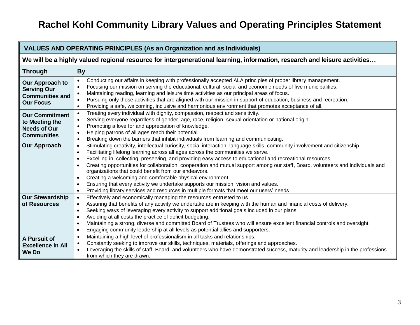# **Rachel Kohl Community Library Values and Operating Principles Statement**

| <b>VALUES AND OPERATING PRINCIPLES (As an Organization and as Individuals)</b>       |                                                                                                                                                                                                                                                                                                                                                                                                                                                                                                                                                                                                                                                                                                                                                                                                                             |  |  |  |  |  |  |
|--------------------------------------------------------------------------------------|-----------------------------------------------------------------------------------------------------------------------------------------------------------------------------------------------------------------------------------------------------------------------------------------------------------------------------------------------------------------------------------------------------------------------------------------------------------------------------------------------------------------------------------------------------------------------------------------------------------------------------------------------------------------------------------------------------------------------------------------------------------------------------------------------------------------------------|--|--|--|--|--|--|
|                                                                                      | We will be a highly valued regional resource for intergenerational learning, information, research and leisure activities                                                                                                                                                                                                                                                                                                                                                                                                                                                                                                                                                                                                                                                                                                   |  |  |  |  |  |  |
| <b>Through</b>                                                                       | <b>By</b>                                                                                                                                                                                                                                                                                                                                                                                                                                                                                                                                                                                                                                                                                                                                                                                                                   |  |  |  |  |  |  |
| Our Approach to<br><b>Serving Our</b><br><b>Communities and</b><br><b>Our Focus</b>  | Conducting our affairs in keeping with professionally accepted ALA principles of proper library management.<br>Focusing our mission on serving the educational, cultural, social and economic needs of five municipalities.<br>Maintaining reading, learning and leisure time activities as our principal areas of focus.<br>$\bullet$<br>Pursuing only those activities that are aligned with our mission in support of education, business and recreation.<br>Providing a safe, welcoming, inclusive and harmonious environment that promotes acceptance of all.                                                                                                                                                                                                                                                          |  |  |  |  |  |  |
| <b>Our Commitment</b><br>to Meeting the<br><b>Needs of Our</b><br><b>Communities</b> | Treating every individual with dignity, compassion, respect and sensitivity.<br>Serving everyone regardless of gender, age, race, religion, sexual orientation or national origin.<br>$\bullet$<br>Promoting a love for and appreciation of knowledge.<br>Helping patrons of all ages reach their potential.<br>Breaking down the barriers that inhibit individuals from learning and communicating.                                                                                                                                                                                                                                                                                                                                                                                                                        |  |  |  |  |  |  |
| <b>Our Approach</b>                                                                  | Stimulating creativity, intellectual curiosity, social interaction, language skills, community involvement and citizenship.<br>$\bullet$<br>Facilitating lifelong learning across all ages across the communities we serve.<br>$\bullet$<br>Excelling in: collecting, preserving, and providing easy access to educational and recreational resources.<br>$\bullet$<br>Creating opportunities for collaboration, cooperation and mutual support among our staff, Board, volunteers and individuals and<br>$\bullet$<br>organizations that could benefit from our endeavors.<br>Creating a welcoming and comfortable physical environment.<br>Ensuring that every activity we undertake supports our mission, vision and values.<br>Providing library services and resources in multiple formats that meet our users' needs. |  |  |  |  |  |  |
| <b>Our Stewardship</b><br>of Resources                                               | Effectively and economically managing the resources entrusted to us.<br>$\bullet$<br>Assuring that benefits of any activity we undertake are in keeping with the human and financial costs of delivery.<br>Seeking ways of leveraging every activity to support additional goals included in our plans.<br>$\bullet$<br>Avoiding at all costs the practice of deficit budgeting.<br>$\bullet$<br>Maintaining a strong, diverse and committed Board of Trustees who will ensure excellent financial controls and oversight.<br>Engaging community leadership at all levels as potential allies and supporters.                                                                                                                                                                                                               |  |  |  |  |  |  |
| A Pursuit of<br><b>Excellence in All</b><br><b>We Do</b>                             | Maintaining a high level of professionalism in all tasks and relationships.<br>$\bullet$<br>Constantly seeking to improve our skills, techniques, materials, offerings and approaches.<br>Leveraging the skills of staff, Board, and volunteers who have demonstrated success, maturity and leadership in the professions<br>from which they are drawn.                                                                                                                                                                                                                                                                                                                                                                                                                                                                     |  |  |  |  |  |  |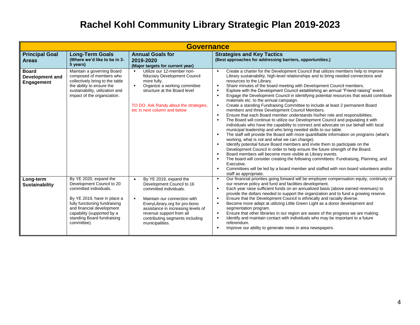# **Rachel Kohl Community Library Strategic Plan 2019-2023**

|                                               | <b>Governance</b>                                                                                                                                                                                                                                     |                                                                                                                                                                                                                                                                                     |                                                                                                                                                                                                                                                                                                                                                                                                                                                                                                                                                                                                                                                                                                                                                                                                                                                                                                                                                                                                                                                                                                                                                                                                                                                                                                                                                                                                                                                                                                                                                                                                                                                                                                                                                                                         |  |  |  |  |  |
|-----------------------------------------------|-------------------------------------------------------------------------------------------------------------------------------------------------------------------------------------------------------------------------------------------------------|-------------------------------------------------------------------------------------------------------------------------------------------------------------------------------------------------------------------------------------------------------------------------------------|-----------------------------------------------------------------------------------------------------------------------------------------------------------------------------------------------------------------------------------------------------------------------------------------------------------------------------------------------------------------------------------------------------------------------------------------------------------------------------------------------------------------------------------------------------------------------------------------------------------------------------------------------------------------------------------------------------------------------------------------------------------------------------------------------------------------------------------------------------------------------------------------------------------------------------------------------------------------------------------------------------------------------------------------------------------------------------------------------------------------------------------------------------------------------------------------------------------------------------------------------------------------------------------------------------------------------------------------------------------------------------------------------------------------------------------------------------------------------------------------------------------------------------------------------------------------------------------------------------------------------------------------------------------------------------------------------------------------------------------------------------------------------------------------|--|--|--|--|--|
| <b>Principal Goal</b><br><b>Areas</b>         | <b>Long-Term Goals</b><br>(Where we'd like to be in 3-<br>5 years)                                                                                                                                                                                    | <b>Annual Goals for</b><br>2019-2020<br>(Major targets for current year)                                                                                                                                                                                                            | <b>Strategies and Key Tactics</b><br>(Best approaches for addressing barriers, opportunities.)                                                                                                                                                                                                                                                                                                                                                                                                                                                                                                                                                                                                                                                                                                                                                                                                                                                                                                                                                                                                                                                                                                                                                                                                                                                                                                                                                                                                                                                                                                                                                                                                                                                                                          |  |  |  |  |  |
| <b>Board</b><br>Development and<br>Engagement | Maintain a governing Board<br>composed of members who<br>collectively bring to the table<br>the ability to ensure the<br>sustainability, utilization and<br>impact of the organization.                                                               | Utilize our 12-member non-<br>$\blacksquare$<br>fiduciary Development Council<br>more fully.<br>Organize a working committee<br>$\blacksquare$<br>structure at the Board level<br>TO DO: Ask Randy about the strategies,<br>etc in next column and below                            | Create a charter for the Development Council that utilizes members help to improve<br>$\blacksquare$<br>Library sustainability, high-level relationships and to bring needed connections and<br>resources to the Library.<br>Share minutes of the board meeting with Development Council members.<br>$\blacksquare$<br>Explore with the Development Council establishing an annual "Friend-raising" event.<br>$\blacksquare$<br>Engage the Development Council in identifying potential resources that would contribute<br>materials etc. to the annual campaign.<br>Create a standing Fundraising Committee to include at least 2 permanent Board<br>$\blacksquare$<br>members and three Development Council Members.<br>Ensure that each Board member understands his/her role and responsibilities.<br>$\blacksquare$<br>The Board will continue to utilize our Development Council and populating it with<br>$\blacksquare$<br>individuals who have the capability to connect and advocate on our behalf with local<br>municipal leadership and who bring needed skills to our table.<br>The staff will provide the Board with more quantifiable information on programs (what's<br>$\blacksquare$<br>working, what is not and what we can change).<br>Identify potential future Board members and invite them to participate on the<br>$\blacksquare$<br>Development Council in order to help ensure the future strength of the Board.<br>Board members will become more visible at Library events.<br>$\blacksquare$<br>The board will consider creating the following committees: Fundraising, Planning, and<br>$\blacksquare$<br>Executive.<br>Committees will be led by a board member and staffed with non-board volunteers and/or<br>$\blacksquare$<br>staff as appropriate. |  |  |  |  |  |
| Long-term<br><b>Sustainability</b>            | By YE 2020, expand the<br>Development Council to 20<br>committed individuals.<br>By YE 2019, have in place a<br>fully functioning fundraising<br>and financial development<br>capability (supported by a<br>standing Board fundraising<br>committee). | By YE 2019, expand the<br>$\bullet$<br>Development Council to 16<br>committed individuals.<br>Maintain our connection with<br>EveryLibrary.org for pro-bono<br>assistance in increasing levels of<br>revenue support from all<br>contributing segments including<br>municipalities. | Our financial priorities going forward will be employee compensation equity, continuity of<br>$\blacksquare$<br>our reserve policy and fund and facilities development.<br>Each year raise sufficient funds on an annualized basis (above earned revenues) to<br>$\blacksquare$<br>provide the dollars needed to support the organization and to fund a growing reserve.<br>Ensure that the Development Council is ethnically and racially diverse.<br>$\blacksquare$<br>Become more adept at utilizing Little Green Light as a donor development and<br>$\blacksquare$<br>segmentation program.<br>Ensure that other libraries in our region are aware of the progress we are making.<br>$\blacksquare$<br>Identify and maintain contact with individuals who may be important to a future<br>referendum.<br>Improve our ability to generate news in area newspapers.<br>$\blacksquare$                                                                                                                                                                                                                                                                                                                                                                                                                                                                                                                                                                                                                                                                                                                                                                                                                                                                                                |  |  |  |  |  |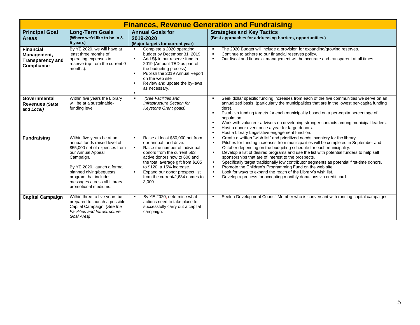|                                                                          | <b>Finances, Revenue Generation and Fundraising</b>                                                                                                                                                                                                                     |                                                                                                                                                                                                                                                                                                                                                                    |                                                                                                                                                                                                                                                                                                                                                                                                                                                                                                                                                                                                                                                                                                                                                                                                                              |  |  |  |  |  |
|--------------------------------------------------------------------------|-------------------------------------------------------------------------------------------------------------------------------------------------------------------------------------------------------------------------------------------------------------------------|--------------------------------------------------------------------------------------------------------------------------------------------------------------------------------------------------------------------------------------------------------------------------------------------------------------------------------------------------------------------|------------------------------------------------------------------------------------------------------------------------------------------------------------------------------------------------------------------------------------------------------------------------------------------------------------------------------------------------------------------------------------------------------------------------------------------------------------------------------------------------------------------------------------------------------------------------------------------------------------------------------------------------------------------------------------------------------------------------------------------------------------------------------------------------------------------------------|--|--|--|--|--|
| <b>Principal Goal</b><br><b>Areas</b>                                    | <b>Long-Term Goals</b><br>(Where we'd like to be in 3-<br>5 years)                                                                                                                                                                                                      | <b>Annual Goals for</b><br>2019-2020<br>(Major targets for current year)                                                                                                                                                                                                                                                                                           | <b>Strategies and Key Tactics</b><br>(Best approaches for addressing barriers, opportunities.)                                                                                                                                                                                                                                                                                                                                                                                                                                                                                                                                                                                                                                                                                                                               |  |  |  |  |  |
| <b>Financial</b><br>Management,<br><b>Transparency and</b><br>Compliance | By YE 2020, we will have at<br>least three months of<br>operating expenses in<br>reserve (up from the current 0<br>months).                                                                                                                                             | Complete a 2020 operating<br>budget by December 31, 2019.<br>Add \$\$ to our reserve fund in<br>2019 (Amount TBD as part of<br>the budgeting process).<br>Publish the 2019 Annual Report<br>on the web site<br>Review and update the by-laws<br>$\blacksquare$<br>as necessary.<br>$\blacksquare$                                                                  | The 2020 Budget will include a provision for expanding/growing reserves.<br>$\blacksquare$<br>Continue to adhere to our financial reserves policy.<br>$\blacksquare$<br>Our fiscal and financial management will be accurate and transparent at all times.<br>$\blacksquare$                                                                                                                                                                                                                                                                                                                                                                                                                                                                                                                                                 |  |  |  |  |  |
| Governmental<br><b>Revenues (State</b><br>and Local)                     | Within five years the Library<br>will be at a sustainable-<br>funding level.                                                                                                                                                                                            | (See Facilities and<br>$\blacksquare$<br>Infrastructure Section for<br>Keystone Grant goals).                                                                                                                                                                                                                                                                      | Seek dollar specific funding increases from each of the five communities we serve on an<br>$\blacksquare$<br>annualized basis, (particularly the municipalities that are in the lowest per-capita funding<br>tiers).<br>Establish funding targets for each municipality based on a per-capita percentage of<br>$\blacksquare$<br>population.<br>Work with volunteer advisors on developing stronger contacts among municipal leaders.<br>$\blacksquare$<br>Host a donor event once a year for large donors.<br>$\blacksquare$<br>Host a Library Legislative engagement function.<br>$\blacksquare$                                                                                                                                                                                                                           |  |  |  |  |  |
| <b>Fundraising</b>                                                       | Within five years be at an<br>annual funds raised level of<br>\$55,000 net of expenses from<br>our Annual Appeal<br>Campaign.<br>By YE 2020, launch a formal<br>planned giving/bequests<br>program that includes<br>messages across all Library<br>promotional mediums. | Raise at least \$50,000 net from<br>$\blacksquare$<br>our annual fund drive.<br>Raise the number of individual<br>$\blacksquare$<br>donors from the current 563<br>active donors now to 600 and<br>the total average gift from \$105<br>to \$120, a 15% increase.<br>Expand our donor prospect list<br>$\blacksquare$<br>from the current-2,634 names to<br>3,000. | Create a written "wish list" and prioritized needs inventory for the library.<br>$\blacksquare$<br>Pitches for funding increases from municipalities will be completed in September and<br>$\blacksquare$<br>October depending on the budgeting schedule for each municipality.<br>Develop a list of desired programs and use the list with potential funders to help sell<br>$\blacksquare$<br>sponsorships that are of interest to the prospects.<br>Specifically target traditionally low contributor segments as potential first-time donors.<br>$\blacksquare$<br>Promote the Children's Programming Fund on the web site.<br>$\blacksquare$<br>Look for ways to expand the reach of the Library's wish list.<br>$\blacksquare$<br>Develop a process for accepting monthly donations via credit card.<br>$\blacksquare$ |  |  |  |  |  |
| <b>Capital Campaign</b>                                                  | Within three to five years be<br>prepared to launch a possible<br>Capital Campaign. (See the<br><b>Facilities and Infrastructure</b><br>Goal Area)                                                                                                                      | By YE 2020, determine what<br>actions need to take place to<br>successfully carry out a capital<br>campaign.                                                                                                                                                                                                                                                       | Seek a Development Council Member who is conversant with running capital campaigns-<br>$\blacksquare$                                                                                                                                                                                                                                                                                                                                                                                                                                                                                                                                                                                                                                                                                                                        |  |  |  |  |  |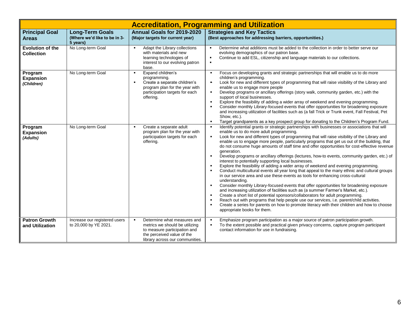|                                              | <b>Accreditation, Programming and Utilization</b>                  |                                                                                                                                                                                        |                                                                                                                                                                                                                                                                                                                                                                                                                                                                                                                                                                                                                                                                                                                                                                                                                                                                                                                                                                                                                                                                                                                                                                                                                                                                                                                                                                                                                                                                                                                                                             |  |  |  |  |  |  |  |
|----------------------------------------------|--------------------------------------------------------------------|----------------------------------------------------------------------------------------------------------------------------------------------------------------------------------------|-------------------------------------------------------------------------------------------------------------------------------------------------------------------------------------------------------------------------------------------------------------------------------------------------------------------------------------------------------------------------------------------------------------------------------------------------------------------------------------------------------------------------------------------------------------------------------------------------------------------------------------------------------------------------------------------------------------------------------------------------------------------------------------------------------------------------------------------------------------------------------------------------------------------------------------------------------------------------------------------------------------------------------------------------------------------------------------------------------------------------------------------------------------------------------------------------------------------------------------------------------------------------------------------------------------------------------------------------------------------------------------------------------------------------------------------------------------------------------------------------------------------------------------------------------------|--|--|--|--|--|--|--|
| <b>Principal Goal</b><br><b>Areas</b>        | <b>Long-Term Goals</b><br>(Where we'd like to be in 3-<br>5 years) | Annual Goals for 2019-2020<br>(Major targets for current year)                                                                                                                         | <b>Strategies and Key Tactics</b><br>(Best approaches for addressing barriers, opportunities.)                                                                                                                                                                                                                                                                                                                                                                                                                                                                                                                                                                                                                                                                                                                                                                                                                                                                                                                                                                                                                                                                                                                                                                                                                                                                                                                                                                                                                                                              |  |  |  |  |  |  |  |
| <b>Evolution of the</b><br><b>Collection</b> | No Long-term Goal                                                  | $\blacksquare$<br>Adapt the Library collections<br>with materials and new<br>learning technologies of<br>interest to our evolving patron<br>base.                                      | Determine what additions must be added to the collection in order to better serve our<br>$\blacksquare$<br>evolving demographics of our patron base.<br>Continue to add ESL, citizenship and language materials to our collections.<br>$\blacksquare$<br>$\blacksquare$                                                                                                                                                                                                                                                                                                                                                                                                                                                                                                                                                                                                                                                                                                                                                                                                                                                                                                                                                                                                                                                                                                                                                                                                                                                                                     |  |  |  |  |  |  |  |
| Program<br><b>Expansion</b><br>(Children)    | No Long-term Goal                                                  | Expand children's<br>$\blacksquare$<br>programming.<br>Create a separate children's<br>$\blacksquare$<br>program plan for the year with<br>participation targets for each<br>offering. | Focus on developing grants and strategic partnerships that will enable us to do more<br>$\blacksquare$<br>children's programming.<br>Look for new and different types of programming that will raise visibility of the Library and<br>$\bullet$<br>enable us to engage more people<br>Develop programs or ancillary offerings (story walk, community garden, etc.) with the<br>$\blacksquare$<br>support of local businesses.<br>Explore the feasibility of adding a wider array of weekend and evening programming.<br>$\blacksquare$<br>Consider monthly Library-focused events that offer opportunities for broadening exposure<br>$\blacksquare$<br>and increasing utilization of facilities such as (a fall Trick or Trunk event, Fall Festival, Pet<br>Show, etc.).<br>Target grandparents as a key prospect group for donating to the Children's Program Fund.<br>$\blacksquare$                                                                                                                                                                                                                                                                                                                                                                                                                                                                                                                                                                                                                                                                     |  |  |  |  |  |  |  |
| Program<br><b>Expansion</b><br>(Adults)      | No Long-term Goal                                                  | Create a separate adult<br>program plan for the year with<br>participation targets for each<br>offering.                                                                               | Identify potential grants or strategic partnerships with businesses or associations that will<br>$\blacksquare$<br>enable us to do more adult programming.<br>Look for new and different types of programming that will raise visibility of the Library and<br>$\blacksquare$<br>enable us to engage more people, particularly programs that get us out of the building, that<br>do not consume huge amounts of staff time and offer opportunities for cost-effective revenue<br>generation.<br>Develop programs or ancillary offerings (lectures, how-to events, community garden, etc.) of<br>$\blacksquare$<br>interest to potentially supporting local businesses.<br>Explore the feasibility of adding a wider array of weekend and evening programming.<br>Conduct multicultural events all year long that appeal to the many ethnic and cultural groups<br>$\blacksquare$<br>in our service area and use these events as tools for enhancing cross-cultural<br>understanding.<br>Consider monthly Library-focused events that offer opportunities for broadening exposure<br>$\blacksquare$<br>and increasing utilization of facilities such as (a summer Farmer's Market, etc.).<br>Create a short list of potential sponsors/collaborators for adult programming.<br>$\blacksquare$<br>Reach out with programs that help people use our services, i.e. parent/child activities.<br>$\blacksquare$<br>Create a series for parents on how to promote literacy with their children and how to choose<br>$\blacksquare$<br>appropriate books for them. |  |  |  |  |  |  |  |
| <b>Patron Growth</b><br>and Utilization      | Increase our registered users<br>to 20,000 by YE 2021.             | Determine what measures and<br>metrics we should be utilizing<br>to measure participation and<br>the perceived value of the<br>library across our communities.                         | Emphasize program participation as a major source of patron participation growth.<br>$\blacksquare$<br>To the extent possible and practical given privacy concerns, capture program participant<br>$\blacksquare$<br>contact information for use in fundraising.                                                                                                                                                                                                                                                                                                                                                                                                                                                                                                                                                                                                                                                                                                                                                                                                                                                                                                                                                                                                                                                                                                                                                                                                                                                                                            |  |  |  |  |  |  |  |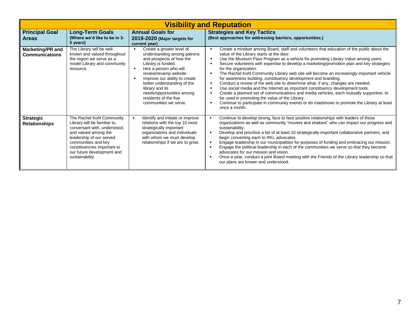|                                           | <b>Visibility and Reputation</b>                                                                                                                                                                                                                     |                                                                                                                                                                                                                                                                                                                                 |                                                                                                                                                                                                                                                                                                                                                                                                                                                                                                                                                                                                                                                                                                                                                                                                                                                                                                                                                                                                                                    |  |  |  |  |  |
|-------------------------------------------|------------------------------------------------------------------------------------------------------------------------------------------------------------------------------------------------------------------------------------------------------|---------------------------------------------------------------------------------------------------------------------------------------------------------------------------------------------------------------------------------------------------------------------------------------------------------------------------------|------------------------------------------------------------------------------------------------------------------------------------------------------------------------------------------------------------------------------------------------------------------------------------------------------------------------------------------------------------------------------------------------------------------------------------------------------------------------------------------------------------------------------------------------------------------------------------------------------------------------------------------------------------------------------------------------------------------------------------------------------------------------------------------------------------------------------------------------------------------------------------------------------------------------------------------------------------------------------------------------------------------------------------|--|--|--|--|--|
| <b>Principal Goal</b><br><b>Areas</b>     | <b>Long-Term Goals</b><br>(Where we'd like to be in 3-<br>5 years)                                                                                                                                                                                   | <b>Annual Goals for</b><br>2019-2020 (Major targets for<br>current year)                                                                                                                                                                                                                                                        | <b>Strategies and Key Tactics</b><br>(Best approaches for addressing barriers, opportunities.)                                                                                                                                                                                                                                                                                                                                                                                                                                                                                                                                                                                                                                                                                                                                                                                                                                                                                                                                     |  |  |  |  |  |
| Marketing/PR and<br><b>Communications</b> | The Library will be well-<br>known and valued throughout<br>the region we serve as a<br>model Library and community<br>resource.                                                                                                                     | Create a greater level of<br>understanding among patrons<br>and prospects of how the<br>Library is funded.<br>Hire a person who will<br>review/revamp website<br>Improve our ability to create<br>better understanding of the<br>library and its<br>needs/opportunities among<br>residents of the five<br>communities we serve. | Create a mindset among Board, staff and volunteers that education of the public about the<br>$\blacksquare$<br>value of the Library starts at the door.<br>Use the Museum Pass Program as a vehicle for promoting Library Value among users.<br>٠<br>Secure volunteers with expertise to develop a marketing/promotion plan and key strategies<br>for the organization.<br>The Rachel Kohl Community Library web site will become an increasingly important vehicle<br>$\blacksquare$<br>for awareness building, constituency development and branding.<br>Conduct a review of the web site to determine what, if any, changes are needed.<br>٠<br>Use social media and the Internet as important constituency development tools.<br>$\blacksquare$<br>Create a planned set of communications and media vehicles, each mutually supportive, to<br>$\blacksquare$<br>be used in promoting the value of the Library.<br>Continue to participate in community events or do roadshows to promote the Library at least<br>once a month. |  |  |  |  |  |
| <b>Strategic</b><br><b>Relationships</b>  | The Rachel Kohl Community<br>Library will be familiar to,<br>conversant with, understood,<br>and valued among the<br>leadership of our served<br>communities and key<br>constituencies important to<br>our future development and<br>sustainability. | Identify and initiate or improve<br>relations with the top 10 most<br>strategically important<br>organizations and individuals<br>with whom we must develop<br>relationships if we are to grow.                                                                                                                                 | Continue to develop strong, face to face positive relationships with leaders of those<br>п.<br>organizations as well as community "movers and shakers" who can impact our progress and<br>sustainability.<br>Develop and prioritize a list of at least 10 strategically important collaborative partners, and<br>begin converting each to RKL advocates.<br>Engage leadership in our municipalities for purposes of funding and embracing our mission.<br>Engage the political leadership in each of the communities we serve so that they become<br>advocates for our mission and vision.<br>Once a year, conduct a joint Board meeting with the Friends of the Library leadership so that<br>our plans are known and understood.                                                                                                                                                                                                                                                                                                 |  |  |  |  |  |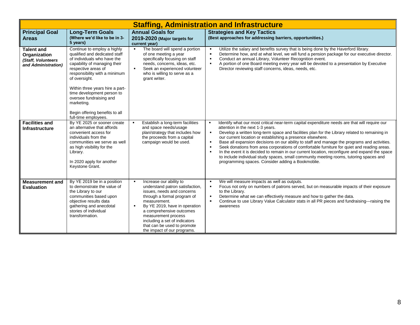|                                                                                | <b>Staffing, Administration and Infrastructure</b>                                                                                                                                                                                                                                                                                                                       |                                                                                                                                                                                                                                                                                                                                              |                                                                                                                                                                                                                                                                                                                                                                                                                                                                                                                                                                                                                                                                                                                                                                                                             |  |  |  |  |  |
|--------------------------------------------------------------------------------|--------------------------------------------------------------------------------------------------------------------------------------------------------------------------------------------------------------------------------------------------------------------------------------------------------------------------------------------------------------------------|----------------------------------------------------------------------------------------------------------------------------------------------------------------------------------------------------------------------------------------------------------------------------------------------------------------------------------------------|-------------------------------------------------------------------------------------------------------------------------------------------------------------------------------------------------------------------------------------------------------------------------------------------------------------------------------------------------------------------------------------------------------------------------------------------------------------------------------------------------------------------------------------------------------------------------------------------------------------------------------------------------------------------------------------------------------------------------------------------------------------------------------------------------------------|--|--|--|--|--|
| <b>Principal Goal</b><br><b>Areas</b>                                          | <b>Long-Term Goals</b><br>(Where we'd like to be in 3-<br>5 years)                                                                                                                                                                                                                                                                                                       | <b>Annual Goals for</b><br>2019-2020 (Major targets for<br>current year)                                                                                                                                                                                                                                                                     | <b>Strategies and Key Tactics</b><br>(Best approaches for addressing barriers, opportunities.)                                                                                                                                                                                                                                                                                                                                                                                                                                                                                                                                                                                                                                                                                                              |  |  |  |  |  |
| <b>Talent and</b><br>Organization<br>(Staff, Volunteers<br>and Administration) | Continue to employ a highly<br>qualified and dedicated staff<br>of individuals who have the<br>capability of managing their<br>respective areas of<br>responsibility with a minimum<br>of oversight.<br>Within three years hire a part-<br>time development person to<br>oversee fundraising and<br>marketing.<br>Begin offering benefits to all<br>full-time employees. | The board will spend a portion<br>$\blacksquare$<br>of one meeting a year<br>specifically focusing on staff<br>needs, concerns, ideas, etc.<br>Seek an experienced volunteer<br>$\blacksquare$<br>who is willing to serve as a<br>grant writer.                                                                                              | Utilize the salary and benefits survey that is being done by the Haverford library.<br>$\blacksquare$<br>Determine how, and at what level, we will fund a pension package for our executive director.<br>٠<br>Conduct an annual Library, Volunteer Recognition event.<br>$\blacksquare$<br>A portion of one Board meeting every year will be devoted to a presentation by Executive<br>٠<br>Director reviewing staff concerns, ideas, needs, etc.                                                                                                                                                                                                                                                                                                                                                           |  |  |  |  |  |
| <b>Facilities and</b><br><b>Infrastructure</b>                                 | By YE 2025 or sooner create<br>an alternative that affords<br>convenient access for<br>individuals from the<br>communities we serve as well<br>as high visibility for the<br>Library.<br>In 2020 apply for another<br>Keystone Grant.                                                                                                                                    | Establish a long-term facilities<br>and space needs/usage<br>plan/strategy that includes how<br>the proceeds from a capital<br>campaign would be used.                                                                                                                                                                                       | Identify what our most critical near-term capital expenditure needs are that will require our<br>attention in the next 1-3 years.<br>Develop a written long-term space and facilities plan for the Library related to remaining in<br>$\blacksquare$<br>our current location or establishing a presence elsewhere.<br>Base all expansion decisions on our ability to staff and manage the programs and activities.<br>٠<br>Seek donations from area corporations of comfortable furniture for quiet and reading areas.<br>$\blacksquare$<br>In the event it is decided to remain in our current location, reconfigure and expand the space<br>$\blacksquare$<br>to include individual study spaces, small community meeting rooms, tutoring spaces and<br>programming spaces. Consider adding a Bookmoblie. |  |  |  |  |  |
| <b>Measurement and</b><br><b>Evaluation</b>                                    | By YE 2019 be in a position<br>to demonstrate the value of<br>the Library to our<br>communities based upon<br>objective results data<br>gathering and anecdotal<br>stories of individual<br>transformation.                                                                                                                                                              | Increase our ability to<br>$\blacksquare$<br>understand patron satisfaction,<br>issues, needs and concerns<br>through a formal program of<br>measurement.<br>By YE 2019, have in operation<br>a comprehensive outcomes<br>measurement process<br>including a set of indicators<br>that can be used to promote<br>the impact of our programs. | We will measure impacts as well as outputs.<br>$\blacksquare$<br>Focus not only on numbers of patrons served, but on measurable impacts of their exposure<br>٠<br>to the Library.<br>Determine what we can effectively measure and how to gather the data.<br>$\blacksquare$<br>Continue to use Library Value Calculator stats in all PR pieces and fundraising---raising the<br>٠<br>awareness                                                                                                                                                                                                                                                                                                                                                                                                             |  |  |  |  |  |

 $\blacksquare$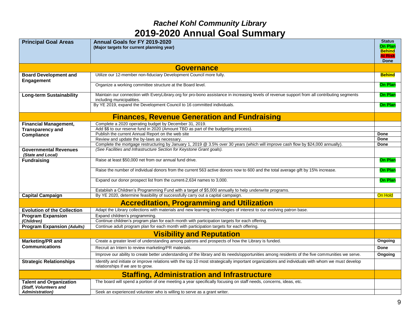### *Rachel Kohl Community Library*  **2019-2020 Annual Goal Summary**

| <b>Principal Goal Areas</b>                              | Annual Goals for FY 2019-2020<br>(Major targets for current planning year)                                                                                                              |                |  |  |  |  |  |
|----------------------------------------------------------|-----------------------------------------------------------------------------------------------------------------------------------------------------------------------------------------|----------------|--|--|--|--|--|
|                                                          |                                                                                                                                                                                         | Done           |  |  |  |  |  |
|                                                          | <b>Governance</b>                                                                                                                                                                       |                |  |  |  |  |  |
| <b>Board Development and</b><br>Engagement               | Utilize our 12-member non-fiduciary Development Council more fully.                                                                                                                     | <b>Behind</b>  |  |  |  |  |  |
|                                                          | Organize a working committee structure at the Board level.                                                                                                                              | <b>On Plan</b> |  |  |  |  |  |
| <b>Long-term Sustainability</b>                          | Maintain our connection with EveryLibrary.org for pro-bono assistance in increasing levels of revenue support from all contributing segments<br>including municipalities.               |                |  |  |  |  |  |
|                                                          | By YE 2019, expand the Development Council to 16 committed individuals.                                                                                                                 | <b>On Plan</b> |  |  |  |  |  |
|                                                          | <b>Finances, Revenue Generation and Fundraising</b>                                                                                                                                     |                |  |  |  |  |  |
| <b>Financial Management,</b>                             | Complete a 2020 operating budget by December 31, 2019.                                                                                                                                  |                |  |  |  |  |  |
| <b>Transparency and</b>                                  | Add \$\$ to our reserve fund in 2020 (Amount TBD as part of the budgeting process).                                                                                                     |                |  |  |  |  |  |
| Compliance                                               | Publish the current Annual Report on the web site<br>Done                                                                                                                               |                |  |  |  |  |  |
|                                                          | Review and update the by-laws as necessary.<br>Done<br>Complete the mortgage restructuring by January 1, 2019 @ 3.5% over 30 years (which will improve cash flow by \$24,000 annually). |                |  |  |  |  |  |
| <b>Governmental Revenues</b><br>(State and Local)        | (See Facilities and Infrastructure Section for Keystone Grant goals).                                                                                                                   | Done           |  |  |  |  |  |
| <b>Fundraising</b>                                       | Raise at least \$50,000 net from our annual fund drive.                                                                                                                                 | <b>On Plan</b> |  |  |  |  |  |
|                                                          | Raise the number of individual donors from the current 563 active donors now to 600 and the total average gift by 15% increase.                                                         | <b>On Plan</b> |  |  |  |  |  |
|                                                          | Expand our donor prospect list from the current-2,634 names to 3,000.                                                                                                                   | <b>On Plan</b> |  |  |  |  |  |
|                                                          | Establish a Children's Programming Fund with a target of \$5,000 annually to help underwrite programs.                                                                                  |                |  |  |  |  |  |
| <b>Capital Campaign</b>                                  | By YE 2020, determine feasibility of successfully carry out a capital campaign.                                                                                                         | <b>On Hold</b> |  |  |  |  |  |
|                                                          | <b>Accreditation, Programming and Utilization</b>                                                                                                                                       |                |  |  |  |  |  |
| <b>Evolution of the Collection</b>                       | Adapt the Library collections with materials and new learning technologies of interest to our evolving patron base.                                                                     |                |  |  |  |  |  |
| <b>Program Expansion</b><br>(Children)                   | Expand children's programming.<br>Continue children's program plan for each month with participation targets for each offering.                                                         |                |  |  |  |  |  |
| <b>Program Expansion (Adults)</b>                        | Continue adult program plan for each month with participation targets for each offering.                                                                                                |                |  |  |  |  |  |
|                                                          | <b>Visibility and Reputation</b>                                                                                                                                                        |                |  |  |  |  |  |
| <b>Marketing/PR and</b>                                  | Create a greater level of understanding among patrons and prospects of how the Library is funded.                                                                                       | Ongoing        |  |  |  |  |  |
| <b>Communications</b>                                    | Recruit an Intern to review marketing/PR materials.                                                                                                                                     | Done           |  |  |  |  |  |
|                                                          | Improve our ability to create better understanding of the library and its needs/opportunities among residents of the five communities we serve.                                         | Ongoing        |  |  |  |  |  |
| <b>Strategic Relationships</b>                           | Identify and initiate or improve relations with the top 10 most strategically important organizations and individuals with whom we must develop<br>relationships if we are to grow.     |                |  |  |  |  |  |
|                                                          | <b>Staffing, Administration and Infrastructure</b>                                                                                                                                      |                |  |  |  |  |  |
| <b>Talent and Organization</b><br>(Staff, Volunteers and | The board will spend a portion of one meeting a year specifically focusing on staff needs, concerns, ideas, etc.                                                                        |                |  |  |  |  |  |
| <b>Administration</b> )                                  | Seek an experienced volunteer who is willing to serve as a grant writer.                                                                                                                |                |  |  |  |  |  |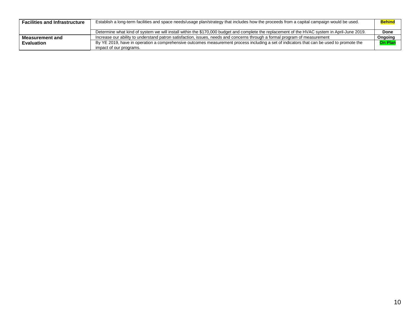| <b>Facilities and Infrastructure</b> | Establish a long-term facilities and space needs/usage plan/strategy that includes how the proceeds from a capital campaign would be used.                          | <b>Behind</b>  |
|--------------------------------------|---------------------------------------------------------------------------------------------------------------------------------------------------------------------|----------------|
|                                      | Determine what kind of system we will install within the \$170,000 budget and complete the replacement of the HVAC system in April-June 2019.                       | Done           |
| Measurement and                      | Increase our ability to understand patron satisfaction, issues, needs and concerns through a formal program of measurement                                          | Ongoing        |
| <b>Evaluation</b>                    | By YE 2019, have in operation a comprehensive outcomes measurement process including a set of indicators that can be used to promote the<br>impact of our programs. | <b>On Plan</b> |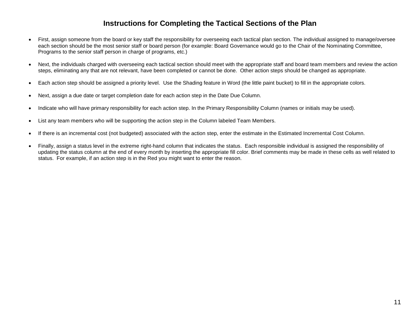#### **Instructions for Completing the Tactical Sections of the Plan**

- First, assign someone from the board or key staff the responsibility for overseeing each tactical plan section. The individual assigned to manage/oversee each section should be the most senior staff or board person (for example: Board Governance would go to the Chair of the Nominating Committee, Programs to the senior staff person in charge of programs, etc.)
- Next, the individuals charged with overseeing each tactical section should meet with the appropriate staff and board team members and review the action steps, eliminating any that are not relevant, have been completed or cannot be done. Other action steps should be changed as appropriate.
- Each action step should be assigned a priority level. Use the Shading feature in Word (the little paint bucket) to fill in the appropriate colors.
- Next, assign a due date or target completion date for each action step in the Date Due Column.
- Indicate who will have primary responsibility for each action step. In the Primary Responsibility Column (names or initials may be used).
- List any team members who will be supporting the action step in the Column labeled Team Members.
- If there is an incremental cost (not budgeted) associated with the action step, enter the estimate in the Estimated Incremental Cost Column.
- Finally, assign a status level in the extreme right-hand column that indicates the status. Each responsible individual is assigned the responsibility of updating the status column at the end of every month by inserting the appropriate fill color. Brief comments may be made in these cells as well related to status. For example, if an action step is in the Red you might want to enter the reason.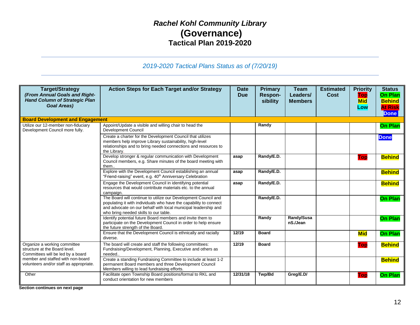### *Rachel Kohl Community Library* **(Governance) Tactical Plan 2019-2020**

#### *2019-2020 Tactical Plans Status as of (7/20/19)*

| <b>Target/Strategy</b><br>(From Annual Goals and Right-<br><b>Hand Column of Strategic Plan</b><br><b>Goal Areas)</b>                                                              | <b>Action Steps for Each Target and/or Strategy</b>                                                                                                                                                                                            | Date<br><b>Due</b> | <b>Primary</b><br>Respon-<br>sibility | <b>Team</b><br>Leaders/<br><b>Members</b> | <b>Estimated</b><br><b>Cost</b> | <b>Priority</b><br>Top<br><b>Mid</b><br>Low | <b>Status</b><br><b>On Plan</b><br><b>Behind</b><br><b>At Risk</b><br><b>Done</b> |
|------------------------------------------------------------------------------------------------------------------------------------------------------------------------------------|------------------------------------------------------------------------------------------------------------------------------------------------------------------------------------------------------------------------------------------------|--------------------|---------------------------------------|-------------------------------------------|---------------------------------|---------------------------------------------|-----------------------------------------------------------------------------------|
| <b>Board Development and Engagement</b>                                                                                                                                            |                                                                                                                                                                                                                                                |                    |                                       |                                           |                                 |                                             |                                                                                   |
| Utilize our 12-member non-fiduciary<br>Development Council more fully.                                                                                                             | Appoint/Update a visible and willing chair to head the<br><b>Development Council</b>                                                                                                                                                           |                    | Randy                                 |                                           |                                 |                                             | <b>On Plan</b>                                                                    |
|                                                                                                                                                                                    | Create a charter for the Development Council that utilizes<br>members help improve Library sustainability, high-level<br>relationships and to bring needed connections and resources to<br>the Library.                                        |                    |                                       |                                           |                                 |                                             | <b>Done</b>                                                                       |
|                                                                                                                                                                                    | Develop stronger & regular communication with Development<br>Council members, e.g. Share minutes of the board meeting with<br>them                                                                                                             | asap               | Randy/E.D.                            |                                           |                                 | Top                                         | <b>Behind</b>                                                                     |
|                                                                                                                                                                                    | Explore with the Development Council establishing an annual<br>"Friend-raising" event, e.g. 40 <sup>th</sup> Anniversary Celebration                                                                                                           | asap               | Randy/E.D.                            |                                           |                                 |                                             | <b>Behind</b>                                                                     |
|                                                                                                                                                                                    | Engage the Development Council in identifying potential<br>resources that would contribute materials etc. to the annual<br>campaign.                                                                                                           | asap               | Randy/E.D.                            |                                           |                                 |                                             | <b>Behind</b>                                                                     |
|                                                                                                                                                                                    | The Board will continue to utilize our Development Council and<br>populating it with individuals who have the capability to connect<br>and advocate on our behalf with local municipal leadership and<br>who bring needed skills to our table. |                    | Randy/E.D.                            |                                           |                                 |                                             | <b>On Plan</b>                                                                    |
|                                                                                                                                                                                    | Identify potential future Board members and invite them to<br>participate on the Development Council in order to help ensure<br>the future strength of the Board.                                                                              |                    | Randy                                 | Randy/Susa<br>nS./Jean                    |                                 |                                             | <b>On Plan</b>                                                                    |
|                                                                                                                                                                                    | Ensure that the Development Council is ethnically and racially<br>diverse.                                                                                                                                                                     | 12/19              | <b>Board</b>                          |                                           |                                 | <b>Mid</b>                                  | <b>On Plan</b>                                                                    |
| Organize a working committee<br>structure at the Board level.<br>Committees will be led by a board<br>member and staffed with non-board<br>volunteers and/or staff as appropriate. | The board will create and staff the following committees:<br>Fundraising/Development, Planning, Executive and others as<br>needed                                                                                                              | 12/19              | <b>Board</b>                          |                                           |                                 | Top                                         | <b>Behind</b>                                                                     |
|                                                                                                                                                                                    | Create a standing Fundraising Committee to include at least 1-2<br>permanent Board members and three Development Council<br>Members willing to lead fundraising efforts.                                                                       |                    |                                       |                                           |                                 |                                             | <b>Behind</b>                                                                     |
| Other                                                                                                                                                                              | Facilitate open Township Board positions/formal to RKL and<br>conduct orientation for new members                                                                                                                                              | 12/31/18           | Twp/Bd                                | Greg/E.D/                                 |                                 | <b>Top</b>                                  | <b>On Plan</b>                                                                    |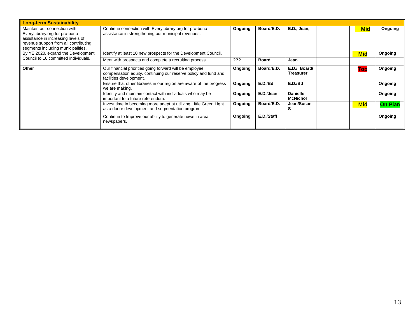| <b>Long-term Sustainability</b>                                                                                                                                                    |                                                                                                                                                       |         |              |                                    |            |                |
|------------------------------------------------------------------------------------------------------------------------------------------------------------------------------------|-------------------------------------------------------------------------------------------------------------------------------------------------------|---------|--------------|------------------------------------|------------|----------------|
| Maintain our connection with<br>EveryLibrary.org for pro-bono<br>assistance in increasing levels of<br>revenue support from all contributing<br>segments including municipalities. | Continue connection with EveryLibrary.org for pro-bono<br>assistance in strengthening our municipal revenues.                                         | Ongoing | Board/E.D.   | E.D., Jean,                        | <b>Mid</b> | Ongoing        |
| By YE 2020, expand the Development                                                                                                                                                 | Identify at least 10 new prospects for the Development Council.                                                                                       |         |              |                                    | <b>Mid</b> | Ongoing        |
| Council to 16 committed individuals.                                                                                                                                               | Meet with prospects and complete a recruiting process.                                                                                                | ???     | <b>Board</b> | Jean                               |            |                |
| Other                                                                                                                                                                              | Our financial priorities going forward will be employee<br>compensation equity, continuing our reserve policy and fund and<br>facilities development. | Ongoing | Board/E.D.   | E.D./ Board/<br><b>Treasurer</b>   | Top        | Ongoing        |
|                                                                                                                                                                                    | Ensure that other libraries in our region are aware of the progress<br>we are making.                                                                 | Ongoing | E.D./Bd      | E.D./Bd                            |            | Ongoing        |
|                                                                                                                                                                                    | Identify and maintain contact with individuals who may be<br>important to a future referendum.                                                        | Ongoing | E.D./Jean    | <b>Danielle</b><br><b>McNichol</b> |            | Ongoing        |
|                                                                                                                                                                                    | Invest time in becoming more adept at utilizing Little Green Light<br>as a donor development and segmentation program.                                | Ongoing | Board/E.D.   | Jean/Susan                         | <b>Mid</b> | <b>On Plan</b> |
|                                                                                                                                                                                    | Continue to Improve our ability to generate news in area<br>newspapers.                                                                               | Ongoing | E.D./Staff   |                                    |            | Ongoing        |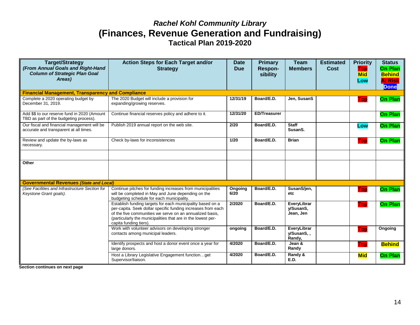### *Rachel Kohl Community Library*  **(Finances, Revenue Generation and Fundraising) Tactical Plan 2019-2020**

| <b>Target/Strategy</b><br>(From Annual Goals and Right-Hand<br><b>Column of Strategic Plan Goal</b><br>Areas) | <b>Action Steps for Each Target and/or</b><br><b>Strategy</b>                                                                                                                                                                                                                    | <b>Date</b><br><b>Due</b> | <b>Primary</b><br>Respon-<br>sibility | <b>Team</b><br><b>Members</b>         | <b>Estimated</b><br>Cost | <b>Priority</b><br>Top<br><b>Mid</b><br>Low | <b>Status</b><br><b>On Plan</b><br><b>Behind</b><br><b>At Risk</b><br><b>Done</b> |
|---------------------------------------------------------------------------------------------------------------|----------------------------------------------------------------------------------------------------------------------------------------------------------------------------------------------------------------------------------------------------------------------------------|---------------------------|---------------------------------------|---------------------------------------|--------------------------|---------------------------------------------|-----------------------------------------------------------------------------------|
| <b>Financial Management, Transparency and Compliance</b>                                                      |                                                                                                                                                                                                                                                                                  |                           |                                       |                                       |                          |                                             |                                                                                   |
| Complete a 2020 operating budget by<br>December 31, 2019.                                                     | The 2020 Budget will include a provision for<br>expanding/growing reserves.                                                                                                                                                                                                      | 12/31/19                  | Board/E.D.                            | Jen, SusanS                           |                          | <b>Top</b>                                  | <b>On Plan</b>                                                                    |
| Add \$\$ to our reserve fund in 2020 (Amount<br>TBD as part of the budgeting process).                        | Continue financial reserves policy and adhere to it.                                                                                                                                                                                                                             | 12/31/20                  | <b>ED/Treasurer</b>                   |                                       |                          |                                             | <b>On Plan</b>                                                                    |
| Our fiscal and financial management will be<br>accurate and transparent at all times.                         | Publish 2019 annual report on the web site.                                                                                                                                                                                                                                      | 2/20                      | Board/E.D.                            | <b>Staff</b><br>SusanS.               |                          | Low                                         | <b>On Plan</b>                                                                    |
| Review and update the by-laws as<br>necessary.                                                                | Check by-laws for inconsistencies                                                                                                                                                                                                                                                | 1/20                      | Board/E.D.                            | <b>Brian</b>                          |                          | <b>Top</b>                                  | <b>On Plan</b>                                                                    |
|                                                                                                               |                                                                                                                                                                                                                                                                                  |                           |                                       |                                       |                          |                                             |                                                                                   |
| Other                                                                                                         |                                                                                                                                                                                                                                                                                  |                           |                                       |                                       |                          |                                             |                                                                                   |
| <b>Governmental Revenues (State and Local)</b>                                                                |                                                                                                                                                                                                                                                                                  |                           |                                       |                                       |                          |                                             |                                                                                   |
| (See Facilities and Infrastructure Section for<br>Keystone Grant goals).                                      | Continue pitches for funding increases from municipalities<br>will be completed in May and June depending on the<br>budgeting schedule for each municipality.                                                                                                                    | Ongoing<br>6/20           | Board/E.D.                            | SusanS/jen.<br>etc                    |                          | Top                                         | <b>On Plan</b>                                                                    |
|                                                                                                               | Establish funding targets for each municipality based on a<br>per-capita. Seek dollar specific funding increases from each<br>of the five communities we serve on an annualized basis,<br>(particularly the municipalities that are in the lowest per-<br>capita funding tiers). | 2/2020                    | Board/E.D.                            | EveryLibrar<br>v/SusanS,<br>Jean, Jen |                          | <b>Top</b>                                  | <b>On Plan</b>                                                                    |
|                                                                                                               | Work with volunteer advisors on developing stronger<br>contacts among municipal leaders.                                                                                                                                                                                         | ongoing                   | Board/E.D.                            | EveryLibrar<br>v/SusanS<br>Randy,     |                          | Top                                         | <b>Ongoing</b>                                                                    |
|                                                                                                               | Identify prospects and host a donor event once a year for<br>large donors.                                                                                                                                                                                                       | 4/2020                    | Board/E.D.                            | Jean &<br>Randy                       |                          | <b>Top</b>                                  | <b>Behind</b>                                                                     |
|                                                                                                               | Host a Library Legislative Engagement functionget<br>Supervisor/liaison.                                                                                                                                                                                                         | 4/2020                    | Board/E.D.                            | Randy &<br><b>E.D.</b>                |                          | <b>Mid</b>                                  | <b>On Plan</b>                                                                    |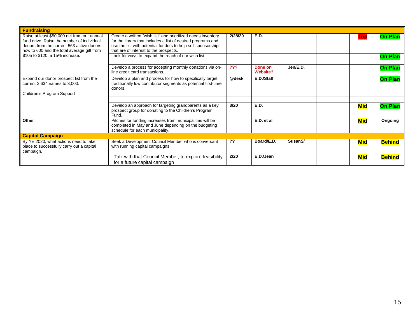| <b>Fundraising</b>                                                                                                                                                                   |                                                                                                                                                                                                                                         |         |                            |                      |            |                |
|--------------------------------------------------------------------------------------------------------------------------------------------------------------------------------------|-----------------------------------------------------------------------------------------------------------------------------------------------------------------------------------------------------------------------------------------|---------|----------------------------|----------------------|------------|----------------|
| Raise at least \$50,000 net from our annual<br>fund drive. Raise the number of individual<br>donors from the current 563 active donors<br>now to 600 and the total average gift from | Create a written "wish list" and prioritized needs inventory<br>for the library that includes a list of desired programs and<br>use the list with potential funders to help sell sponsorships<br>that are of interest to the prospects. | 2/28/20 | E.D.                       |                      | Top        | <b>On Plan</b> |
| \$105 to \$120, a 15% increase.                                                                                                                                                      | Look for ways to expand the reach of our wish list.                                                                                                                                                                                     |         |                            |                      |            | <b>On Plan</b> |
|                                                                                                                                                                                      | Develop a process for accepting monthly donations via on-<br>line credit card transactions.                                                                                                                                             | ???     | Done on<br><b>Website?</b> | Jen/E.D.             |            | <b>On Plan</b> |
| Expand our donor prospect list from the<br>current-2,634 names to 3,000.                                                                                                             | Develop a plan and process for how to specifically target<br>traditionally low contributor segments as potential first-time<br>donors.                                                                                                  | @desk   | E.D./Staff                 |                      |            | <b>On Plan</b> |
| Children's Program Support                                                                                                                                                           |                                                                                                                                                                                                                                         |         |                            |                      |            |                |
|                                                                                                                                                                                      |                                                                                                                                                                                                                                         |         |                            |                      |            |                |
|                                                                                                                                                                                      | Develop an approach for targeting grandparents as a key<br>prospect group for donating to the Children's Program<br>Fund.                                                                                                               | 3/20    | E.D.                       |                      | <b>Mid</b> | <b>On Plan</b> |
| Other                                                                                                                                                                                | Pitches for funding increases from municipalities will be<br>completed in May and June depending on the budgeting<br>schedule for each municipality.                                                                                    |         | E.D. et al                 |                      | <b>Mid</b> | Ongoing        |
| <b>Capital Campaign</b>                                                                                                                                                              |                                                                                                                                                                                                                                         |         |                            |                      |            |                |
| By YE 2020, what actions need to take<br>place to successfully carry out a capital<br>campaign.                                                                                      | Seek a Development Council Member who is conversant<br>with running capital campaigns.                                                                                                                                                  | ??      | Board/E.D.                 | Susan <sub>S</sub> / | <b>Mid</b> | <b>Behind</b>  |
|                                                                                                                                                                                      | Talk with that Council Member, to explore feasibility<br>for a future capital campaign                                                                                                                                                  | 2/20    | E.D./Jean                  |                      | <b>Mid</b> | <b>Behind</b>  |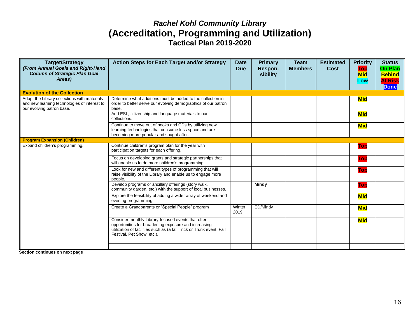### *Rachel Kohl Community Library*  **(Accreditation, Programming and Utilization) Tactical Plan 2019-2020**

| <b>Target/Strategy</b><br>(From Annual Goals and Right-Hand<br><b>Column of Strategic Plan Goal</b><br>Areas)             | <b>Action Steps for Each Target and/or Strategy</b>                                                                                                                                                              | <b>Date</b><br><b>Due</b> | <b>Primary</b><br>Respon-<br>sibility | <b>Team</b><br><b>Members</b> | <b>Estimated</b><br>Cost | <b>Priority</b><br>Top<br><b>Mid</b><br>Low | <b>Status</b><br><b>On Plan</b><br><b>Behind</b><br><b>At Risk</b><br><b>Done</b> |
|---------------------------------------------------------------------------------------------------------------------------|------------------------------------------------------------------------------------------------------------------------------------------------------------------------------------------------------------------|---------------------------|---------------------------------------|-------------------------------|--------------------------|---------------------------------------------|-----------------------------------------------------------------------------------|
| <b>Evolution of the Collection</b>                                                                                        |                                                                                                                                                                                                                  |                           |                                       |                               |                          |                                             |                                                                                   |
| Adapt the Library collections with materials<br>and new learning technologies of interest to<br>our evolving patron base. | Determine what additions must be added to the collection in<br>order to better serve our evolving demographics of our patron<br>base.                                                                            |                           |                                       |                               |                          | <b>Mid</b>                                  |                                                                                   |
|                                                                                                                           | Add ESL, citizenship and language materials to our<br>collections.                                                                                                                                               |                           |                                       |                               |                          | <b>Mid</b>                                  |                                                                                   |
|                                                                                                                           | Continue to move out of books and CDs by utilizing new<br>learning technologies that consume less space and are<br>becoming more popular and sought after.                                                       |                           |                                       |                               |                          | <b>Mid</b>                                  |                                                                                   |
| <b>Program Expansion (Children)</b>                                                                                       |                                                                                                                                                                                                                  |                           |                                       |                               |                          |                                             |                                                                                   |
| Expand children's programming.                                                                                            | Continue children's program plan for the year with<br>participation targets for each offering.                                                                                                                   |                           |                                       |                               |                          | Top                                         |                                                                                   |
|                                                                                                                           | Focus on developing grants and strategic partnerships that<br>will enable us to do more children's programming.                                                                                                  |                           |                                       |                               |                          | <b>Top</b>                                  |                                                                                   |
|                                                                                                                           | Look for new and different types of programming that will<br>raise visibility of the Library and enable us to engage more<br>people                                                                              |                           |                                       |                               |                          | Top                                         |                                                                                   |
|                                                                                                                           | Develop programs or ancillary offerings (story walk,<br>community garden, etc.) with the support of local businesses.                                                                                            |                           | <b>Mindy</b>                          |                               |                          | <b>Top</b>                                  |                                                                                   |
|                                                                                                                           | Explore the feasibility of adding a wider array of weekend and<br>evening programming.                                                                                                                           |                           |                                       |                               |                          | <b>Mid</b>                                  |                                                                                   |
|                                                                                                                           | Create a Grandparents or "Special People" program                                                                                                                                                                | Winter<br>2019            | ED/Mindy                              |                               |                          | <b>Mid</b>                                  |                                                                                   |
|                                                                                                                           | Consider monthly Library-focused events that offer<br>opportunities for broadening exposure and increasing<br>utilization of facilities such as (a fall Trick or Trunk event, Fall<br>Festival, Pet Show, etc.). |                           |                                       |                               |                          | <b>Mid</b>                                  |                                                                                   |
|                                                                                                                           |                                                                                                                                                                                                                  |                           |                                       |                               |                          |                                             |                                                                                   |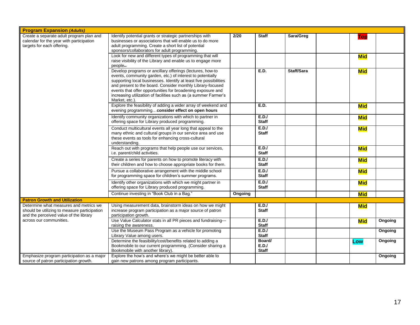| <b>Program Expansion (Adults)</b>                                                                                                |                                                                                                                                                                                                                                                                                                                                                                                                                |         |                                 |            |            |         |
|----------------------------------------------------------------------------------------------------------------------------------|----------------------------------------------------------------------------------------------------------------------------------------------------------------------------------------------------------------------------------------------------------------------------------------------------------------------------------------------------------------------------------------------------------------|---------|---------------------------------|------------|------------|---------|
| Create a separate adult program plan and<br>calendar for the year with participation<br>targets for each offering.               | Identify potential grants or strategic partnerships with<br>businesses or associations that will enable us to do more<br>adult programming. Create a short list of potential<br>sponsors/collaborators for adult programming.                                                                                                                                                                                  | 2/20    | <b>Staff</b>                    | Sara/Greg  | Top        |         |
|                                                                                                                                  | Look for new and different types of programming that will<br>raise visibility of the Library and enable us to engage more<br>people                                                                                                                                                                                                                                                                            |         |                                 |            | <b>Mid</b> |         |
|                                                                                                                                  | Develop programs or ancillary offerings (lectures, how-to<br>events, community garden, etc.) of interest to potentially<br>supporting local businesses. Identify at least five possibilities<br>and present to the board. Consider monthly Library-focused<br>events that offer opportunities for broadening exposure and<br>increasing utilization of facilities such as (a summer Farmer's<br>Market, etc.). |         | <b>E.D.</b>                     | Staff/Sara | <b>Mid</b> |         |
|                                                                                                                                  | Explore the feasibility of adding a wider array of weekend and<br>evening programmingconsider effect on open hours                                                                                                                                                                                                                                                                                             |         | E.D.                            |            | <b>Mid</b> |         |
|                                                                                                                                  | Identify community organizations with which to partner in<br>offering space for Library produced programming.                                                                                                                                                                                                                                                                                                  |         | E.D.J<br><b>Staff</b>           |            | <b>Mid</b> |         |
|                                                                                                                                  | Conduct multicultural events all year long that appeal to the<br>many ethnic and cultural groups in our service area and use<br>these events as tools for enhancing cross-cultural<br>understanding.                                                                                                                                                                                                           |         | E.D.J<br><b>Staff</b>           |            | <b>Mid</b> |         |
|                                                                                                                                  | Reach out with programs that help people use our services,<br>i.e. parent/child activities.                                                                                                                                                                                                                                                                                                                    |         | E.D.J<br><b>Staff</b>           |            | <b>Mid</b> |         |
|                                                                                                                                  | Create a series for parents on how to promote literacy with<br>their children and how to choose appropriate books for them.                                                                                                                                                                                                                                                                                    |         | E.D.J<br><b>Staff</b>           |            | <b>Mid</b> |         |
|                                                                                                                                  | Pursue a collaborative arrangement with the middle school<br>for programming space for children's summer programs.                                                                                                                                                                                                                                                                                             |         | E.D.J<br><b>Staff</b>           |            | <b>Mid</b> |         |
|                                                                                                                                  | Identify other organizations with which we might partner in<br>offering space for Library produced programming.                                                                                                                                                                                                                                                                                                |         | E.D.J<br><b>Staff</b>           |            | <b>Mid</b> |         |
|                                                                                                                                  | Continue investing in "Book Club in a Bag."                                                                                                                                                                                                                                                                                                                                                                    | Ongoing |                                 |            | <b>Mid</b> |         |
| <b>Patron Growth and Utilization</b>                                                                                             |                                                                                                                                                                                                                                                                                                                                                                                                                |         |                                 |            |            |         |
| Determine what measures and metrics we<br>should be utilizing to measure participation<br>and the perceived value of the library | Using measurement data, brainstorm ideas on how we might<br>increase program participation as a major source of patron<br>participation growth.                                                                                                                                                                                                                                                                |         | E.D.J<br><b>Staff</b>           |            | <b>Mid</b> |         |
| across our communities.                                                                                                          | Use Value Calculator stats in all PR pieces and fundraising---<br>raising the awareness.                                                                                                                                                                                                                                                                                                                       |         | E.D.J<br><b>Staff</b>           |            | <b>Mid</b> | Ongoing |
|                                                                                                                                  | Use the Museum Pass Program as a vehicle for promoting<br>Library Value among users.                                                                                                                                                                                                                                                                                                                           |         | E.D.J<br><b>Staff</b>           |            |            | Ongoing |
|                                                                                                                                  | Determine the feasibility/cost/benefits related to adding a<br>Bookmobile to our current programming. (Consider sharing a<br>Bookmobile with another library).                                                                                                                                                                                                                                                 |         | Board/<br>E.D.J<br><b>Staff</b> |            | Low        | Ongoing |
| Emphasize program participation as a major<br>source of patron participation growth.                                             | Explore the how's and where's we might be better able to<br>gain new patrons among program participants.                                                                                                                                                                                                                                                                                                       |         |                                 |            |            | Ongoing |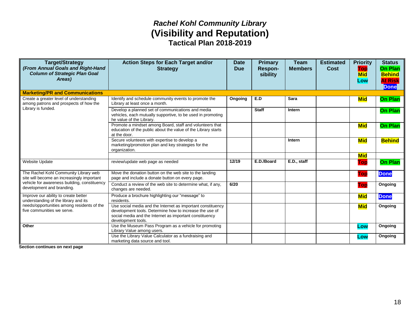### *Rachel Kohl Community Library*  **(Visibility and Reputation) Tactical Plan 2018-2019**

| <b>Target/Strategy</b><br>(From Annual Goals and Right-Hand<br><b>Column of Strategic Plan Goal</b><br>Areas) | <b>Action Steps for Each Target and/or</b><br><b>Strategy</b>                                                                                                                                           | <b>Date</b><br><b>Due</b> | <b>Primary</b><br>Respon-<br>sibility | Team<br><b>Members</b> | <b>Estimated</b><br>Cost | <b>Priority</b><br>Top<br><b>Mid</b><br>Low | <b>Status</b><br><b>On Plan</b><br><b>Behind</b><br><b>At Risk</b><br><b>Done</b> |
|---------------------------------------------------------------------------------------------------------------|---------------------------------------------------------------------------------------------------------------------------------------------------------------------------------------------------------|---------------------------|---------------------------------------|------------------------|--------------------------|---------------------------------------------|-----------------------------------------------------------------------------------|
| <b>Marketing/PR and Communications</b>                                                                        |                                                                                                                                                                                                         |                           |                                       |                        |                          |                                             |                                                                                   |
| Create a greater level of understanding<br>among patrons and prospects of how the                             | Identify and schedule community events to promote the<br>Library at least once a month.                                                                                                                 | Ongoing                   | E.D                                   | <b>Sara</b>            |                          | <b>Mid</b>                                  | <b>On Plan</b>                                                                    |
| Library is funded.                                                                                            | Develop a planned set of communications and media<br>vehicles, each mutually supportive, to be used in promoting<br>he value of the Library.                                                            |                           | <b>Staff</b>                          | Intern                 |                          |                                             | <b>On Plan</b>                                                                    |
|                                                                                                               | Promote a mindset among Board, staff and volunteers that<br>education of the public about the value of the Library starts<br>at the door.                                                               |                           |                                       |                        |                          | <b>Mid</b>                                  | <b>On Plan</b>                                                                    |
|                                                                                                               | Secure volunteers with expertise to develop a<br>marketing/promotion plan and key strategies for the<br>organization.                                                                                   |                           |                                       | Intern                 |                          | <b>Mid</b>                                  | <b>Behind</b>                                                                     |
|                                                                                                               |                                                                                                                                                                                                         |                           |                                       |                        |                          | <b>Mid</b>                                  |                                                                                   |
| Website Update                                                                                                | review/update web page as needed                                                                                                                                                                        | 12/19                     | E.D./Board                            | E.D., staff            |                          | Top                                         | <b>On Plan</b>                                                                    |
| The Rachel Kohl Community Library web<br>site will become an increasingly important                           | Move the donation button on the web site to the landing<br>page and include a donate button on every page.                                                                                              |                           |                                       |                        |                          | Top                                         | <b>Done</b>                                                                       |
| vehicle for awareness building, constituency<br>development and branding.                                     | Conduct a review of the web site to determine what, if any,<br>changes are needed.                                                                                                                      | 6/20                      |                                       |                        |                          | Top                                         | Ongoing                                                                           |
| Improve our ability to create better<br>understanding of the library and its                                  | Produce a brochure highlighting our "message" to<br>residents.                                                                                                                                          |                           |                                       |                        |                          | <b>Mid</b>                                  | <b>Done</b>                                                                       |
| needs/opportunities among residents of the<br>five communities we serve.                                      | Use social media and the Internet as important constituency<br>development tools. Determine how to increase the use of<br>social media and the Internet as important constituency<br>development tools. |                           |                                       |                        |                          | <b>Mid</b>                                  | Ongoing                                                                           |
| Other                                                                                                         | Use the Museum Pass Program as a vehicle for promoting<br>Library Value among users.                                                                                                                    |                           |                                       |                        |                          | Low                                         | Ongoing                                                                           |
|                                                                                                               | Use the Library Value Calculator as a fundraising and<br>marketing data source and tool.                                                                                                                |                           |                                       |                        |                          | Low                                         | Ongoing                                                                           |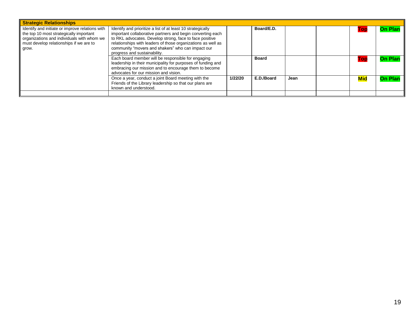| <b>Strategic Relationships</b>                                                                                                                                                               |                                                                                                                                                                                                                                                                                                                                           |         |              |      |            |                |
|----------------------------------------------------------------------------------------------------------------------------------------------------------------------------------------------|-------------------------------------------------------------------------------------------------------------------------------------------------------------------------------------------------------------------------------------------------------------------------------------------------------------------------------------------|---------|--------------|------|------------|----------------|
| Identify and initiate or improve relations with<br>the top 10 most strategically important<br>organizations and individuals with whom we<br>must develop relationships if we are to<br>grow. | Identify and prioritize a list of at least 10 strategically<br>important collaborative partners and begin converting each<br>to RKL advocates. Develop strong, face to face positive<br>relationships with leaders of those organizations as well as<br>community "movers and shakers" who can impact our<br>progress and sustainability. |         | Board/E.D.   |      | Top        | <b>On Plan</b> |
|                                                                                                                                                                                              | Each board member will be responsible for engaging<br>leadership in their municipality for purposes of funding and<br>embracing our mission and to encourage them to become<br>advocates for our mission and vision.                                                                                                                      |         | <b>Board</b> |      | Top        | <b>On Plan</b> |
|                                                                                                                                                                                              | Once a year, conduct a joint Board meeting with the<br>Friends of the Library leadership so that our plans are<br>known and understood.                                                                                                                                                                                                   | 1/22/20 | E.D./Board   | Jean | <b>Mid</b> | <b>On Plan</b> |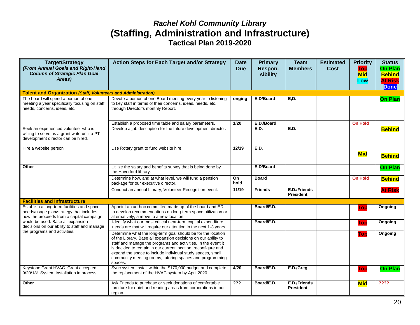### *Rachel Kohl Community Library*  **(Staffing, Administration and Infrastructure) Tactical Plan 2019-2020**

| <b>Target/Strategy</b><br>(From Annual Goals and Right-Hand<br><b>Column of Strategic Plan Goal</b><br>Areas)                     | <b>Action Steps for Each Target and/or Strategy</b>                                                                                                                                                                                                                                                                                                                                                   | <b>Date</b><br><b>Due</b> | <b>Primary</b><br>Respon-<br>sibility | <b>Team</b><br><b>Members</b>    | <b>Estimated</b><br><b>Cost</b> | <b>Priority</b><br>Top<br><b>Mid</b><br>Low | <b>Status</b><br><b>On Plan</b><br><b>Behind</b><br><b>At Risk</b><br><b>Done</b> |
|-----------------------------------------------------------------------------------------------------------------------------------|-------------------------------------------------------------------------------------------------------------------------------------------------------------------------------------------------------------------------------------------------------------------------------------------------------------------------------------------------------------------------------------------------------|---------------------------|---------------------------------------|----------------------------------|---------------------------------|---------------------------------------------|-----------------------------------------------------------------------------------|
| <b>Talent and Organization (Staff, Volunteers and Administration)</b>                                                             |                                                                                                                                                                                                                                                                                                                                                                                                       |                           |                                       |                                  |                                 |                                             |                                                                                   |
| The board will spend a portion of one<br>meeting a year specifically focusing on staff<br>needs, concerns, ideas, etc.            | Devote a portion of one Board meeting every year to listening<br>to key staff in terms of their concerns, ideas, needs, etc.<br>through Director's monthly Report.                                                                                                                                                                                                                                    | onging                    | E.D/Board                             | E, D.                            |                                 |                                             | <b>On Plan</b>                                                                    |
|                                                                                                                                   | Establish a proposed time table and salary parameters.                                                                                                                                                                                                                                                                                                                                                | 1/20                      | E.D./Board                            |                                  |                                 | <b>On Hold</b>                              |                                                                                   |
| Seek an experienced volunteer who is<br>willing to serve as a grant write until a PT<br>development director can be hired.        | Develop a job description for the future development director.                                                                                                                                                                                                                                                                                                                                        |                           | E.D.                                  | E.D.                             |                                 |                                             | <b>Behind</b>                                                                     |
| Hire a website person                                                                                                             | Use Rotary grant to fund website hire.                                                                                                                                                                                                                                                                                                                                                                | 12/19                     | <b>E.D.</b>                           |                                  |                                 | <b>Mid</b>                                  | <b>Behind</b>                                                                     |
| Other                                                                                                                             | Utilize the salary and benefits survey that is being done by<br>the Haverford library.                                                                                                                                                                                                                                                                                                                |                           | E.D/Board                             |                                  |                                 |                                             | <b>On Plan</b>                                                                    |
|                                                                                                                                   | Determine how, and at what level, we will fund a pension<br>package for our executive director.                                                                                                                                                                                                                                                                                                       | On<br>hold                | <b>Board</b>                          |                                  |                                 | <b>On Hold</b>                              | <b>Behind</b>                                                                     |
|                                                                                                                                   | Conduct an annual Library, Volunteer Recognition event.                                                                                                                                                                                                                                                                                                                                               | 11/19                     | <b>Friends</b>                        | E.D./Friends<br><b>President</b> |                                 |                                             | <b>At Risk</b>                                                                    |
| <b>Facilities and Infrastructure</b>                                                                                              |                                                                                                                                                                                                                                                                                                                                                                                                       |                           |                                       |                                  |                                 |                                             |                                                                                   |
| Establish a long-term facilities and space<br>needs/usage plan/strategy that includes<br>how the proceeds from a capital campaign | Appoint an ad-hoc committee made up of the board and ED<br>to develop recommendations on long-term space utilization or<br>alternatively, a move to a new location.                                                                                                                                                                                                                                   |                           | Board/E.D.                            |                                  |                                 | Top                                         | Ongoing                                                                           |
| would be used. Base all expansion<br>decisions on our ability to staff and manage                                                 | Identify what our most critical near-term capital expenditure<br>needs are that will require our attention in the next 1-3 years.                                                                                                                                                                                                                                                                     |                           | Board/E.D.                            |                                  |                                 | Top                                         | Ongoing                                                                           |
| the programs and activities.                                                                                                      | Determine what the long-term goal should be for the location<br>of the Library. Base all expansion decisions on our ability to<br>staff and manage the programs and activities. In the event it<br>is decided to remain in our current location, reconfigure and<br>expand the space to include individual study spaces, small<br>community meeting rooms, tutoring spaces and programming<br>spaces. |                           |                                       |                                  |                                 | Top                                         | <b>Ongoing</b>                                                                    |
| Keystone Grant HVAC. Grant accepted<br>9/20/18! System Installation in process.                                                   | Sync system install within the \$170,000 budget and complete<br>the replacement of the HVAC system by April 2020.                                                                                                                                                                                                                                                                                     | 4/20                      | Board/E.D.                            | E.D./Greg                        |                                 | <b>Top</b>                                  | <b>On Plan</b>                                                                    |
| Other                                                                                                                             | Ask Friends to purchase or seek donations of comfortable<br>furniture for quiet and reading areas from corporations in our<br>region.                                                                                                                                                                                                                                                                 | $\overline{??}$           | Board/E.D.                            | E.D./Friends<br><b>President</b> |                                 | <b>Mid</b>                                  | 7777                                                                              |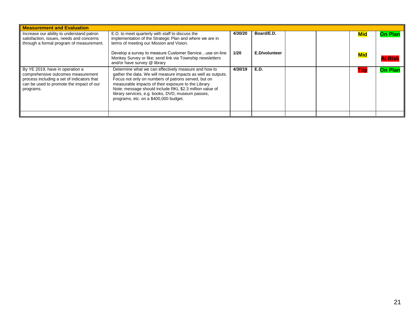| <b>Measurement and Evaluation</b>                                                                                                                                            |                                                                                                                                                                                                                                                                                                                                                                                              |         |               |  |     |                |                |
|------------------------------------------------------------------------------------------------------------------------------------------------------------------------------|----------------------------------------------------------------------------------------------------------------------------------------------------------------------------------------------------------------------------------------------------------------------------------------------------------------------------------------------------------------------------------------------|---------|---------------|--|-----|----------------|----------------|
| Increase our ability to understand patron<br>satisfaction, issues, needs and concerns<br>through a formal program of measurement.                                            | E.D. to meet quarterly with staff to discuss the<br>implementation of the Strategic Plan and where we are in<br>terms of meeting our Mission and Vision.                                                                                                                                                                                                                                     | 4/30/20 | Board/E.D.    |  | Mid | <b>On Plan</b> |                |
|                                                                                                                                                                              | Develop a survey to measure Customer Serviceuse on-line<br>Monkey Survey or like; send link via Township newsletters<br>and/or have survey @ library                                                                                                                                                                                                                                         | 1/20    | E.D/volunteer |  |     | <b>Mid</b>     | <b>At Ris</b>  |
| By YE 2019, have in operation a<br>comprehensive outcomes measurement<br>process including a set of indicators that<br>can be used to promote the impact of our<br>programs. | Determine what we can effectively measure and how to<br>gather the data. We will measure impacts as well as outputs.<br>Focus not only on numbers of patrons served, but on<br>measurable impacts of their exposure to the Library.<br>Note: message should include RKL \$2.3 million value of<br>library services, e.g. books, DVD, museum passes,<br>programs, etc. on a \$400,000 budget. | 4/30/19 | <b>E.D.</b>   |  |     | TOI            | <b>On Plan</b> |
|                                                                                                                                                                              |                                                                                                                                                                                                                                                                                                                                                                                              |         |               |  |     |                |                |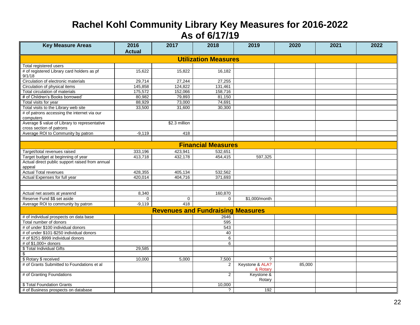# **Rachel Kohl Community Library Key Measures for 2016-2022 As of 6/17/19**

| <b>Key Measure Areas</b>                                                  | 2016<br><b>Actual</b> | 2017          | 2018                                     | 2019                        | 2020   | 2021 | 2022 |
|---------------------------------------------------------------------------|-----------------------|---------------|------------------------------------------|-----------------------------|--------|------|------|
|                                                                           |                       |               | <b>Utilization Measures</b>              |                             |        |      |      |
| Total registered users                                                    |                       |               |                                          |                             |        |      |      |
| # of registered Library card holders as pf<br>9/1/18                      | 15,622                | 15,822        | 16,182                                   |                             |        |      |      |
| Circulation of electronic materials                                       | 29,714                | 27,244        | 27,255                                   |                             |        |      |      |
| Circulation of physical items                                             | 145,858               | 124,822       | 131,461                                  |                             |        |      |      |
| Total circulation of materials                                            | 175,572               | 152,066       | 158,716                                  |                             |        |      |      |
| # of Children's Books borrowed                                            | 80,982                | 79,893        | 81,150                                   |                             |        |      |      |
| Total visits for year                                                     | 88,929                | 73,000        | 74,691                                   |                             |        |      |      |
| Total visits to the Library web site                                      | 33,500                | 31,600        | 30,300                                   |                             |        |      |      |
| # of patrons accessing the internet via our<br>computers                  |                       |               |                                          |                             |        |      |      |
| Average \$ value of Library to representative<br>cross section of patrons |                       | \$2.3 million |                                          |                             |        |      |      |
| Average ROI to Community by patron                                        | $-9,119$              | 418           |                                          |                             |        |      |      |
|                                                                           |                       |               |                                          |                             |        |      |      |
|                                                                           |                       |               | <b>Financial Measures</b>                |                             |        |      |      |
| Target/total revenues raised                                              | 333,196               | 423,941       | 532,651                                  |                             |        |      |      |
| Target budget at beginning of year                                        | 413,718               | 432,178       | 454,415                                  | 597,325                     |        |      |      |
| Actual direct public support raised from annual<br>appeal                 |                       |               |                                          |                             |        |      |      |
| <b>Actual Total revenues</b>                                              | 428,355               | 405,134       | 532,562                                  |                             |        |      |      |
| Actual Expenses for full year                                             | 420,014               | 404,716       | 371,693                                  |                             |        |      |      |
|                                                                           |                       |               |                                          |                             |        |      |      |
|                                                                           |                       |               |                                          |                             |        |      |      |
| Actual net assets at yearend                                              | 8,340                 |               | 160,870                                  |                             |        |      |      |
| Reserve Fund \$\$ set aside                                               | $\Omega$              | 0             | 0                                        | \$1,000/month               |        |      |      |
| Average ROI to community by patron                                        | $-9,119$              | 418           |                                          |                             |        |      |      |
|                                                                           |                       |               | <b>Revenues and Fundraising Measures</b> |                             |        |      |      |
| # of individual prospects on data base                                    |                       |               | 2646                                     |                             |        |      |      |
| Total number of donors                                                    |                       |               | 595                                      |                             |        |      |      |
| # of under \$100 individual donors                                        |                       |               | 543                                      |                             |        |      |      |
| # of under \$101-\$250 individual donors                                  |                       |               | 40                                       |                             |        |      |      |
| # of \$251-\$999 individual donors                                        |                       |               | 6                                        |                             |        |      |      |
| # of \$1,000+ donors                                                      |                       |               | 6                                        |                             |        |      |      |
| \$ Total Individual Gifts                                                 | 29,585                |               |                                          |                             |        |      |      |
| \$                                                                        |                       |               |                                          |                             |        |      |      |
| \$ Rotary \$ received                                                     | 10,000                | 5,000         | 7,500                                    | $\overline{?}$              |        |      |      |
| # of Grants Submitted to Foundations et al                                |                       |               | 2                                        | Keystone & ALA?<br>& Rotary | 85,000 |      |      |
| # of Granting Foundations                                                 |                       |               | $\mathbf{2}$                             | Keystone &<br>Rotary        |        |      |      |
| \$ Total Foundation Grants                                                |                       |               | 10,000                                   |                             |        |      |      |
| # of Business prospects on database                                       |                       |               | ?                                        | 192                         |        |      |      |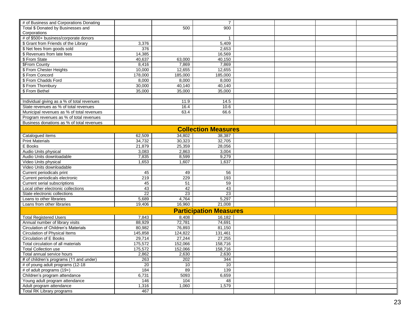| # of Business and Corporations Donating                               |                 |                    | $\overline{7}$                |  |  |
|-----------------------------------------------------------------------|-----------------|--------------------|-------------------------------|--|--|
| Total \$ Donated by Businesses and                                    |                 | 500                | 900                           |  |  |
| Corporations                                                          |                 |                    |                               |  |  |
| # of \$500+ business/corporate donors                                 |                 |                    | $\mathbf{1}$                  |  |  |
| \$ Grant from Friends of the Library                                  | 3,376           |                    | 5,409                         |  |  |
| \$ Net fees from goods sold                                           | 376             |                    | 2,653                         |  |  |
| \$ Revenues from late fees                                            | 14,385          |                    | 16,569                        |  |  |
| \$ From State                                                         | 40,637          | 63,000             | 40,150                        |  |  |
| <b>\$From County</b>                                                  | 8,416           | 7,869              | 7,869                         |  |  |
| \$ From Chester Heights                                               | 10,000          | 12,655             | 12,655                        |  |  |
| \$ From Concord                                                       | 178,000         | 185,000            | 185,000                       |  |  |
| \$ From Chadds Ford                                                   | 8.000           | 8.000              | 8,000                         |  |  |
| \$ From Thornbury                                                     | 30,000          | 40,140             | 40,140                        |  |  |
| \$ From Bethel                                                        | 35,000          | 35,000             | 35,000                        |  |  |
|                                                                       |                 |                    |                               |  |  |
| Individual giving as a % of total revenues                            |                 | 11.9               | 14.5                          |  |  |
| State revenues as % of total revenues                                 |                 | 16.4               | 10.6                          |  |  |
| Municipal revenues as % of total revenues                             |                 | 63.4               | 66.6                          |  |  |
| Program revenues as % of total revenues                               |                 |                    |                               |  |  |
| Business donations as % of total revenues                             |                 |                    |                               |  |  |
|                                                                       |                 |                    |                               |  |  |
|                                                                       |                 |                    | <b>Collection Measures</b>    |  |  |
| Catalogued items                                                      | 62.509          | 34.802             | 38.387                        |  |  |
| <b>Print Materials</b>                                                | 34,732          | 30,323             | 32,705                        |  |  |
| E Books                                                               | 21,879          | 25,359             | 28,056                        |  |  |
| Audio Units physical                                                  | 3,083           | 2,863              | 3,004                         |  |  |
| Audio Units downloadable                                              | 7,835           | 8,599              | 9,279                         |  |  |
| Video Units physical                                                  | 1,653           | 1,607              | 1,637                         |  |  |
| Video Units downloadable                                              |                 |                    |                               |  |  |
| Current periodicals print                                             | 45              | 49                 | 56                            |  |  |
| Current periodicals electronic                                        | 219             | 229                | 193                           |  |  |
| Current serial subscriptions                                          | 45              | 51                 | 59                            |  |  |
| Local other electronic collections                                    | 43              | 42                 | 43                            |  |  |
| State electronic collections                                          | $\overline{22}$ | 23                 | $\overline{23}$               |  |  |
| Loans to other libraries                                              | 5.689           | 4.764              | 5,297                         |  |  |
| Loans from other libraries                                            | 19,406          | 16,960             | 21,008                        |  |  |
|                                                                       |                 |                    | <b>Participation Measures</b> |  |  |
| <b>Total Registered Users</b>                                         | 7,843           | 8,408              | 16,182                        |  |  |
| Annual number of library visits                                       | 88,929          | 72,781             | 74,691                        |  |  |
| Circulation of Children's Materials                                   | 80.982          | 76.893             | 81.150                        |  |  |
| Circulation of Physical Items                                         | 145,858         | 124,822            | 131,461                       |  |  |
| Circulation of E Books                                                | 29,714          | 27.244             | 27,255                        |  |  |
| Total circulation of all materials                                    | 175,572         |                    |                               |  |  |
| <b>Total Collection use</b>                                           | 175,572         | 152,066<br>152,066 | 158,716<br>158,716            |  |  |
|                                                                       |                 |                    |                               |  |  |
| Total annual service hours<br># of children's programs (11 and under) | 2,862           | 2,630              | 2,630                         |  |  |
|                                                                       | 263             | 202                | 344                           |  |  |
| # of young adult programs (12-18                                      | 20              | 10<br>89           | 10                            |  |  |
| # of adult programs (19+)                                             | 184             |                    | 139                           |  |  |
| Children's program attendance                                         | 6,731           | 5093               | 6,659                         |  |  |
| Young adult program attendance                                        | 146             | 104                | 48                            |  |  |
| Adult program attendance                                              | 1,316           | 1,060              | 1,579                         |  |  |
| Total RK Library programs                                             | 467             |                    |                               |  |  |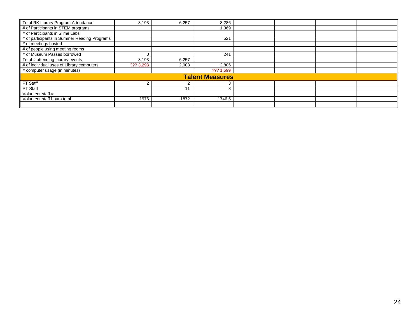| Total RK Library Program Attendance          | 8,193     | 6,257 | 8,286                  |  |  |
|----------------------------------------------|-----------|-------|------------------------|--|--|
| # of Participants in STEM programs           |           |       | 1,369                  |  |  |
| # of Participants in Slime Labs              |           |       |                        |  |  |
| # of participants in Summer Reading Programs |           |       | 521                    |  |  |
| # of meetings hosted                         |           |       |                        |  |  |
| # of people using meeting rooms              |           |       |                        |  |  |
| # of Museum Passes borrowed                  |           |       | 241                    |  |  |
| Total # attending Library events             | 8,193     | 6,257 |                        |  |  |
| # of individual uses of Library computers    | ??? 3,298 | 2,908 | 2,806                  |  |  |
| # computer usage (in minutes)                |           |       | ??? 1,599              |  |  |
|                                              |           |       | <b>Talent Measures</b> |  |  |
| FT Staff                                     |           |       | 3                      |  |  |
| PT Staff                                     |           |       | 8                      |  |  |
| Volunteer staff #                            |           |       |                        |  |  |
| Volunteer staff hours total                  | 1976      | 1872  | 1746.5                 |  |  |
|                                              |           |       |                        |  |  |